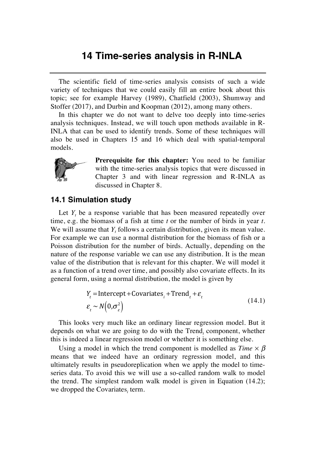## **14 Time-series analysis in R-INLA**

The scientific field of time-series analysis consists of such a wide variety of techniques that we could easily fill an entire book about this topic; see for example Harvey (1989), Chatfield (2003), Shumway and Stoffer (2017), and Durbin and Koopman (2012), among many others.

In this chapter we do not want to delve too deeply into time-series analysis techniques. Instead, we will touch upon methods available in R-INLA that can be used to identify trends. Some of these techniques will also be used in Chapters 15 and 16 which deal with spatial-temporal models.



**Prerequisite for this chapter:** You need to be familiar with the time-series analysis topics that were discussed in Chapter 3 and with linear regression and R-INLA as discussed in Chapter 8.

## **14.1 Simulation study**

Let *Y<sub>t</sub>* be a response variable that has been measured repeatedly over time, e.g. the biomass of a fish at time *t* or the number of birds in year *t*. We will assume that  $Y_t$  follows a certain distribution, given its mean value. For example we can use a normal distribution for the biomass of fish or a Poisson distribution for the number of birds. Actually, depending on the nature of the response variable we can use any distribution. It is the mean value of the distribution that is relevant for this chapter. We will model it as a function of a trend over time, and possibly also covariate effects. In its general form, using a normal distribution, the model is given by

$$
Y_{t} = \text{Intercept} + \text{Covariates}_{i} + \text{Trend}_{t} + \varepsilon_{t}
$$
  
\n
$$
\varepsilon_{t} \sim N\left(0, \sigma_{\varepsilon}^{2}\right)
$$
\n(14.1)

This looks very much like an ordinary linear regression model. But it depends on what we are going to do with the Trend, component, whether this is indeed a linear regression model or whether it is something else.

Using a model in which the trend component is modelled as  $Time \times \beta$ means that we indeed have an ordinary regression model, and this ultimately results in pseudoreplication when we apply the model to timeseries data. To avoid this we will use a so-called random walk to model the trend. The simplest random walk model is given in Equation (14.2); we dropped the Covariates<sub>i</sub> term.